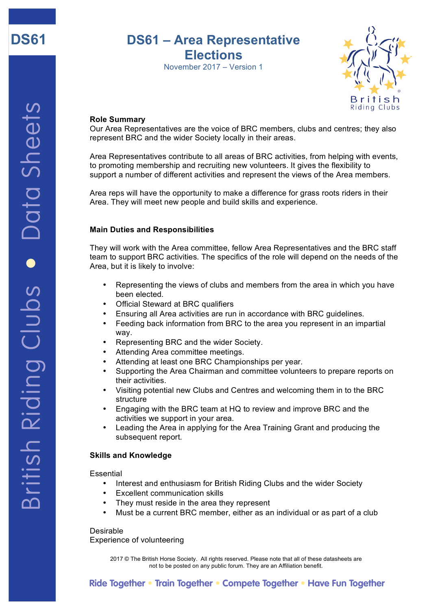

# **DS61 – Area Representative Elections**

November 2017 – Version 1



## **Role Summary**

Our Area Representatives are the voice of BRC members, clubs and centres; they also represent BRC and the wider Society locally in their areas.

Area Representatives contribute to all areas of BRC activities, from helping with events, to promoting membership and recruiting new volunteers. It gives the flexibility to support a number of different activities and represent the views of the Area members.

Area reps will have the opportunity to make a difference for grass roots riders in their Area. They will meet new people and build skills and experience.

## **Main Duties and Responsibilities**

They will work with the Area committee, fellow Area Representatives and the BRC staff team to support BRC activities. The specifics of the role will depend on the needs of the Area, but it is likely to involve:

- Representing the views of clubs and members from the area in which you have been elected.
- Official Steward at BRC qualifiers
- Ensuring all Area activities are run in accordance with BRC guidelines.
- Feeding back information from BRC to the area you represent in an impartial way.
- Representing BRC and the wider Society.
- Attending Area committee meetings.
- Attending at least one BRC Championships per year.
- Supporting the Area Chairman and committee volunteers to prepare reports on their activities.
- Visiting potential new Clubs and Centres and welcoming them in to the BRC structure
- Engaging with the BRC team at HQ to review and improve BRC and the activities we support in your area.
- Leading the Area in applying for the Area Training Grant and producing the subsequent report.

#### **Skills and Knowledge**

Essential

- Interest and enthusiasm for British Riding Clubs and the wider Society
- **Excellent communication skills**
- They must reside in the area they represent
- Must be a current BRC member, either as an individual or as part of a club

Desirable Experience of volunteering

> 2017 © The British Horse Society. All rights reserved. Please note that all of these datasheets are not to be posted on any public forum. They are an Affiliation benefit.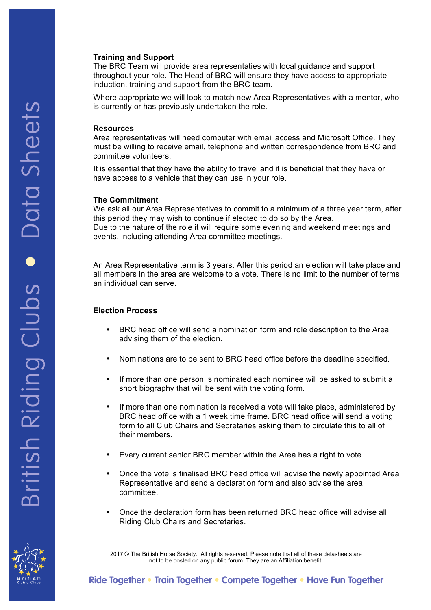#### **Training and Support**

The BRC Team will provide area representaties with local guidance and support throughout your role. The Head of BRC will ensure they have access to appropriate induction, training and support from the BRC team.

Where appropriate we will look to match new Area Representatives with a mentor, who is currently or has previously undertaken the role.

#### **Resources**

Area representatives will need computer with email access and Microsoft Office. They must be willing to receive email, telephone and written correspondence from BRC and committee volunteers.

It is essential that they have the ability to travel and it is beneficial that they have or have access to a vehicle that they can use in your role.

#### **The Commitment**

We ask all our Area Representatives to commit to a minimum of a three year term, after this period they may wish to continue if elected to do so by the Area. Due to the nature of the role it will require some evening and weekend meetings and events, including attending Area committee meetings.

An Area Representative term is 3 years. After this period an election will take place and all members in the area are welcome to a vote. There is no limit to the number of terms an individual can serve.

# **Election Process**

- BRC head office will send a nomination form and role description to the Area advising them of the election.
- Nominations are to be sent to BRC head office before the deadline specified.
- If more than one person is nominated each nominee will be asked to submit a short biography that will be sent with the voting form.
- If more than one nomination is received a vote will take place, administered by BRC head office with a 1 week time frame. BRC head office will send a voting form to all Club Chairs and Secretaries asking them to circulate this to all of their members.
- Every current senior BRC member within the Area has a right to vote.
- Once the vote is finalised BRC head office will advise the newly appointed Area Representative and send a declaration form and also advise the area committee.
- Once the declaration form has been returned BRC head office will advise all Riding Club Chairs and Secretaries.

2017 © The British Horse Society. All rights reserved. Please note that all of these datasheets are not to be posted on any public forum. They are an Affiliation benefit.